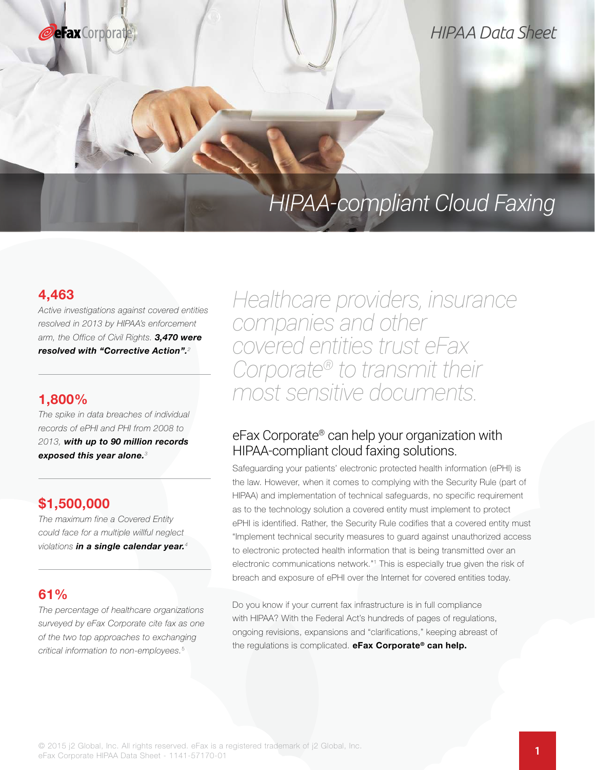

# *HIPAA Data Sheet*

# *HIPAA-compliant Cloud Faxing*

## 4,463

Active investigations against covered entities resolved in 2013 by HIPAA's enforcement arm, the Office of Civil Rights. 3,470 were resolved with "Corrective Action".<sup>2</sup>

### 1,800%

The spike in data breaches of individual records of ePHI and PHI from 2008 to 2013, with up to 90 million records exposed this year alone.<sup>3</sup>

# \$1,500,000

The maximum fine a Covered Entity could face for a multiple willful neglect violations in a single calendar year.<sup>4</sup>

# 61%

The percentage of healthcare organizations surveyed by eFax Corporate cite fax as one of the two top approaches to exchanging critical information to non-employees.<sup>5</sup>

*Healthcare providers, insurance companies and other covered entities trust eFax Corporate® to transmit their most sensitive documents.*

# eFax Corporate® can help your organization with HIPAA-compliant cloud faxing solutions.

Safeguarding your patients' electronic protected health information (ePHI) is the law. However, when it comes to complying with the Security Rule (part of HIPAA) and implementation of technical safeguards, no specific requirement as to the technology solution a covered entity must implement to protect ePHI is identified. Rather, the Security Rule codifies that a covered entity must "Implement technical security measures to guard against unauthorized access to electronic protected health information that is being transmitted over an electronic communications network."<sup>1</sup> This is especially true given the risk of breach and exposure of ePHI over the Internet for covered entities today.

Do you know if your current fax infrastructure is in full compliance with HIPAA? With the Federal Act's hundreds of pages of regulations, ongoing revisions, expansions and "clarifications," keeping abreast of the regulations is complicated. eFax Corporate® can help.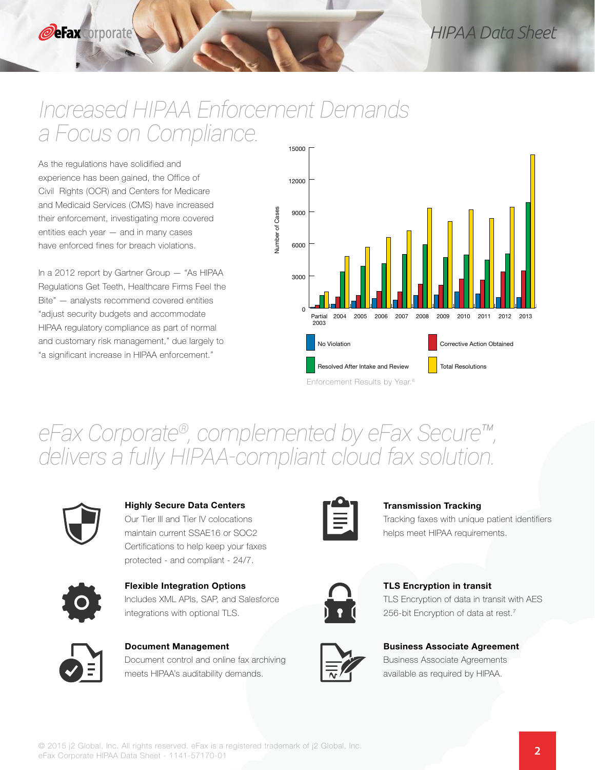# *Increased HIPAA Enforcement Demands a Focus on Compliance.*

As the regulations have solidified and experience has been gained, the Office of Civil Rights (OCR) and Centers for Medicare and Medicaid Services (CMS) have increased their enforcement, investigating more covered entities each year — and in many cases have enforced fines for breach violations.

In a 2012 report by Gartner Group — "As HIPAA Regulations Get Teeth, Healthcare Firms Feel the Bite" — analysts recommend covered entities "adjust security budgets and accommodate HIPAA regulatory compliance as part of normal and customary risk management," due largely to "a significant increase in HIPAA enforcement."



# *eFax Corporate®, complemented by eFax Secure™, delivers a fully HIPAA-compliant cloud fax solution.*

Number of Cases

**Jumber of Cases** 



### Highly Secure Data Centers

Our Tier III and Tier IV colocations maintain current SSAE16 or SOC2 Certifications to help keep your faxes protected - and compliant - 24/7.



Flexible Integration Options Includes XML APIs, SAP, and Salesforce integrations with optional TLS.



Document Management Document control and online fax archiving meets HIPAA's auditability demands.



### Transmission Tracking

Tracking faxes with unique patient identifiers helps meet HIPAA requirements.

TLS Encryption in transit TLS Encryption of data in transit with AES 256-bit Encryption of data at rest.<sup>7</sup>



Business Associate Agreement Business Associate Agreements available as required by HIPAA.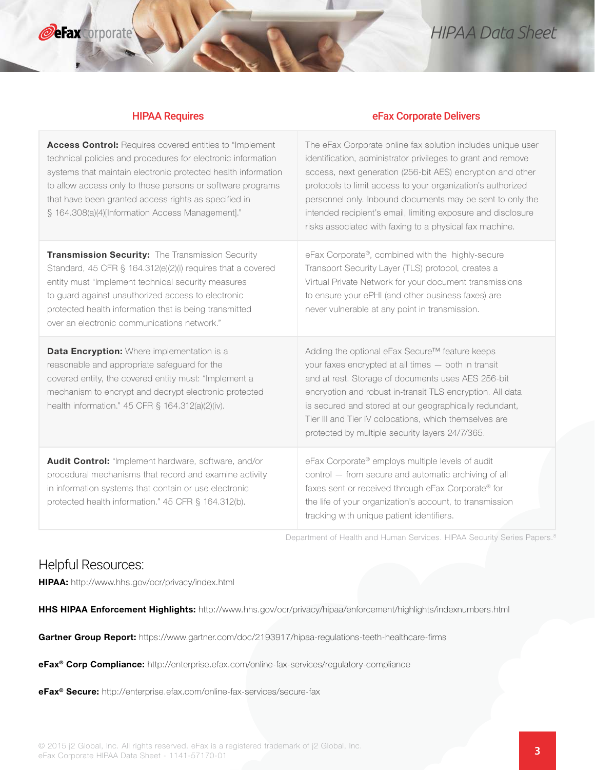

**eFax** orporate

### HIPAA Requires eFax Corporate Delivers

| Access Control: Requires covered entities to "Implement<br>technical policies and procedures for electronic information<br>systems that maintain electronic protected health information<br>to allow access only to those persons or software programs<br>that have been granted access rights as specified in<br>§ 164.308(a)(4)[Information Access Management]." | The eFax Corporate online fax solution includes unique user<br>identification, administrator privileges to grant and remove<br>access, next generation (256-bit AES) encryption and other<br>protocols to limit access to your organization's authorized<br>personnel only. Inbound documents may be sent to only the<br>intended recipient's email, limiting exposure and disclosure<br>risks associated with faxing to a physical fax machine. |
|--------------------------------------------------------------------------------------------------------------------------------------------------------------------------------------------------------------------------------------------------------------------------------------------------------------------------------------------------------------------|--------------------------------------------------------------------------------------------------------------------------------------------------------------------------------------------------------------------------------------------------------------------------------------------------------------------------------------------------------------------------------------------------------------------------------------------------|
| Transmission Security: The Transmission Security<br>Standard, 45 CFR § 164.312(e)(2)(i) requires that a covered<br>entity must "Implement technical security measures<br>to guard against unauthorized access to electronic<br>protected health information that is being transmitted<br>over an electronic communications network."                               | eFax Corporate®, combined with the highly-secure<br>Transport Security Layer (TLS) protocol, creates a<br>Virtual Private Network for your document transmissions<br>to ensure your ePHI (and other business faxes) are<br>never vulnerable at any point in transmission.                                                                                                                                                                        |
| Data Encryption: Where implementation is a<br>reasonable and appropriate safeguard for the<br>covered entity, the covered entity must: "Implement a<br>mechanism to encrypt and decrypt electronic protected<br>health information." 45 CFR § 164.312(a)(2)(iv).                                                                                                   | Adding the optional eFax Secure™ feature keeps<br>your faxes encrypted at all times - both in transit<br>and at rest. Storage of documents uses AES 256-bit<br>encryption and robust in-transit TLS encryption. All data<br>is secured and stored at our geographically redundant,<br>Tier III and Tier IV colocations, which themselves are<br>protected by multiple security layers 24/7/365.                                                  |
| Audit Control: "Implement hardware, software, and/or<br>procedural mechanisms that record and examine activity<br>in information systems that contain or use electronic<br>protected health information." 45 CFR § 164.312(b).                                                                                                                                     | eFax Corporate® employs multiple levels of audit<br>control - from secure and automatic archiving of all<br>faxes sent or received through eFax Corporate® for<br>the life of your organization's account, to transmission<br>tracking with unique patient identifiers.                                                                                                                                                                          |

Department of Health and Human Services. HIPAA Security Series Papers.8

### Helpful Resources:

HIPAA: http://www.hhs.gov/ocr/privacy/index.html

HHS HIPAA Enforcement Highlights: http://www.hhs.gov/ocr/privacy/hipaa/enforcement/highlights/indexnumbers.html

Gartner Group Report: https://www.gartner.com/doc/2193917/hipaa-regulations-teeth-healthcare-firms

eFax® Corp Compliance: http://enterprise.efax.com/online-fax-services/regulatory-compliance

eFax® Secure: http://enterprise.efax.com/online-fax-services/secure-fax